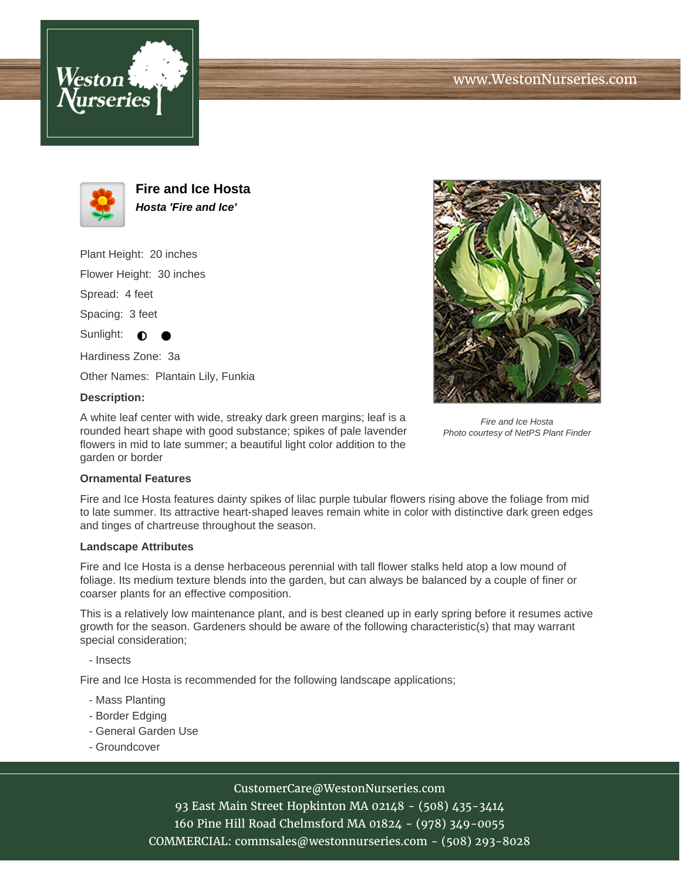





**Fire and Ice Hosta Hosta 'Fire and Ice'**

Plant Height: 20 inches Flower Height: 30 inches

Spread: 4 feet

Spacing: 3 feet

Sunlight:  $\bigcirc$ 

Hardiness Zone: 3a

Other Names: Plantain Lily, Funkia

# **Description:**

A white leaf center with wide, streaky dark green margins; leaf is a rounded heart shape with good substance; spikes of pale lavender flowers in mid to late summer; a beautiful light color addition to the garden or border



Fire and Ice Hosta Photo courtesy of NetPS Plant Finder

### **Ornamental Features**

Fire and Ice Hosta features dainty spikes of lilac purple tubular flowers rising above the foliage from mid to late summer. Its attractive heart-shaped leaves remain white in color with distinctive dark green edges and tinges of chartreuse throughout the season.

### **Landscape Attributes**

Fire and Ice Hosta is a dense herbaceous perennial with tall flower stalks held atop a low mound of foliage. Its medium texture blends into the garden, but can always be balanced by a couple of finer or coarser plants for an effective composition.

This is a relatively low maintenance plant, and is best cleaned up in early spring before it resumes active growth for the season. Gardeners should be aware of the following characteristic(s) that may warrant special consideration;

- Insects

Fire and Ice Hosta is recommended for the following landscape applications;

- Mass Planting
- Border Edging
- General Garden Use
- Groundcover

# CustomerCare@WestonNurseries.com

93 East Main Street Hopkinton MA 02148 - (508) 435-3414 160 Pine Hill Road Chelmsford MA 01824 - (978) 349-0055 COMMERCIAL: commsales@westonnurseries.com - (508) 293-8028